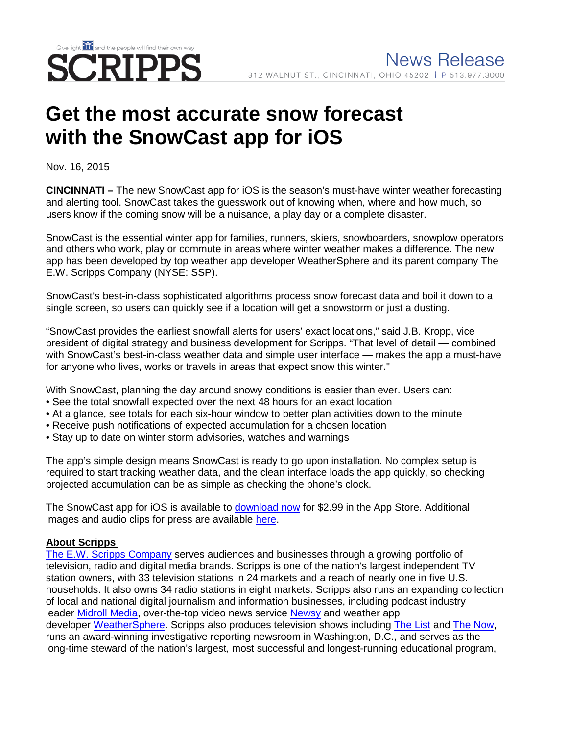

## **Get the most accurate snow forecast with the SnowCast app for iOS**

Nov. 16, 2015

**CINCINNATI –** The new SnowCast app for iOS is the season's must-have winter weather forecasting and alerting tool. SnowCast takes the guesswork out of knowing when, where and how much, so users know if the coming snow will be a nuisance, a play day or a complete disaster.

SnowCast is the essential winter app for families, runners, skiers, snowboarders, snowplow operators and others who work, play or commute in areas where winter weather makes a difference. The new app has been developed by top weather app developer WeatherSphere and its parent company The E.W. Scripps Company (NYSE: SSP).

SnowCast's best-in-class sophisticated algorithms process snow forecast data and boil it down to a single screen, so users can quickly see if a location will get a snowstorm or just a dusting.

"SnowCast provides the earliest snowfall alerts for users' exact locations," said J.B. Kropp, vice president of digital strategy and business development for Scripps. "That level of detail — combined with SnowCast's best-in-class weather data and simple user interface — makes the app a must-have for anyone who lives, works or travels in areas that expect snow this winter."

With SnowCast, planning the day around snowy conditions is easier than ever. Users can:

- See the total snowfall expected over the next 48 hours for an exact location
- At a glance, see totals for each six-hour window to better plan activities down to the minute
- Receive push notifications of expected accumulation for a chosen location
- Stay up to date on winter storm advisories, watches and warnings

The app's simple design means SnowCast is ready to go upon installation. No complex setup is required to start tracking weather data, and the clean interface loads the app quickly, so checking projected accumulation can be as simple as checking the phone's clock.

The SnowCast app for iOS is available to [download now](https://itunes.apple.com/us/app/snowcast-see-how-much-snow/id1052223765?mt=8) for \$2.99 in the App Store. Additional images and audio clips for press are available [here.](http://www.weathersphere.com/snowcast-media-kit/)

## **About Scripps**

[The E.W. Scripps Company](http://www.scripps.com/) serves audiences and businesses through a growing portfolio of television, radio and digital media brands. Scripps is one of the nation's largest independent TV station owners, with 33 television stations in 24 markets and a reach of nearly one in five U.S. households. It also owns 34 radio stations in eight markets. Scripps also runs an expanding collection of local and national digital journalism and information businesses, including podcast industry leader [Midroll](http://www.midroll.com/) Media, over-the-top video news service [Newsy](http://www.newsy.com/) and weather app developer [WeatherSphere.](http://www.weathersphere.com/) Scripps also produces television shows including [The List](http://www.thelisttv.com/) and [The Now,](http://www.thedenverchannel.com/thenow/) runs an award-winning investigative reporting newsroom in Washington, D.C., and serves as the long-time steward of the nation's largest, most successful and longest-running educational program,